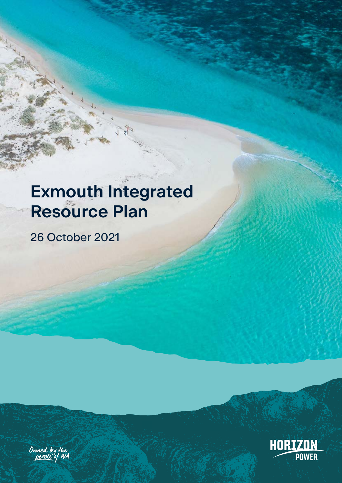# **Exmouth Integrated Resource Plan**

26 October 2021



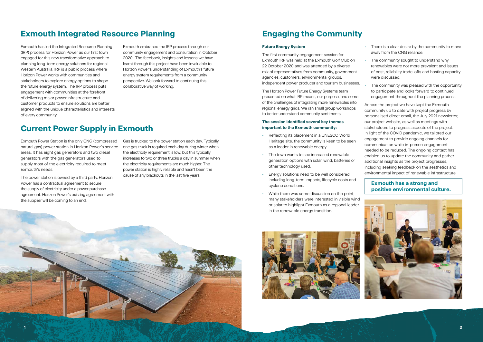# **Exmouth Integrated Resource Planning**

Exmouth has led the Integrated Resource Planning (IRP) process for Horizon Power as our first town engaged for this new transformative approach to planning long-term energy solutions for regional Western Australia. IRP is a public process where Horizon Power works with communities and stakeholders to explore energy options to shape the future energy system. The IRP process puts engagement with communities at the forefront of delivering major power infrastructure and customer products to ensure solutions are better aligned with the unique characteristics and interests of every community.

Exmouth embraced the IRP process through our community engagement and consultation in October 2020. The feedback, insights and lessons we have learnt through this project have been invaluable to Horizon Power's understanding of Exmouth's future energy system requirements from a community perspective. We look forward to continuing this collaborative way of working.

# **Current Power Supply in Exmouth**

Exmouth Power Station is the only CNG (compressed natural gas) power station in Horizon Power's service areas. It has eight gas generators and two diesel generators with the gas generators used to supply most of the electricity required to meet Exmouth's needs.

The power station is owned by a third party. Horizon Power has a contractual agreement to secure the supply of electricity under a power purchase agreement. Horizon Power's existing agreement with the supplier will be coming to an end.

Gas is trucked to the power station each day. Typically, one gas truck is required each day during winter when the electricity requirement is low, but this typically increases to two or three trucks a day in summer when the electricity requirements are much higher. The power station is highly reliable and hasn't been the cause of any blackouts in the last five years.

- There is a clear desire by the community to move away from the CNG reliance.
- The community sought to understand why renewables were not more prevalent and issues of cost, reliability trade-offs and hosting capacity were discussed.
- The community was pleased with the opportunity to participate and looks forward to continued engagement throughout the planning process.

# **Engaging the Community**

#### **Future Energy System**

The first community engagement session for Exmouth IRP was held at the Exmouth Golf Club on 22 October 2020 and was attended by a diverse mix of representatives from community, government agencies, customers, environmental groups, independent power producer and tourism businesses.

The Horizon Power Future Energy Systems team presented on what IRP means, our purpose, and some of the challenges of integrating more renewables into regional energy grids. We ran small group workshops to better understand community sentiments.

#### **The session identified several key themes important to the Exmouth community:**

- Reflecting its placement in a UNESCO World Heritage site, the community is keen to be seen as a leader in renewable energy.
- The town wants to see increased renewable generation options with solar, wind, batteries or other technology used.
- Energy solutions need to be well considered, including long-term impacts, lifecycle costs and cyclone conditions.
- While there was some discussion on the point, many stakeholders were interested in visible wind or solar to highlight Exmouth as a regional leader in the renewable energy transition.





Across the project we have kept the Exmouth community up to date with project progress by personalised direct email, the July 2021 newsletter, our project website, as well as meetings with stakeholders to progress aspects of the project. In light of the COVID pandemic, we tailored our engagement to provide ongoing channels for communication while in-person engagement needed to be reduced. The ongoing contact has enabled us to update the community and gather additional insights as the project progresses, including seeking feedback on the aesthetics and environmental impact of renewable infrastructure.

#### **Exmouth has a strong and positive environmental culture.**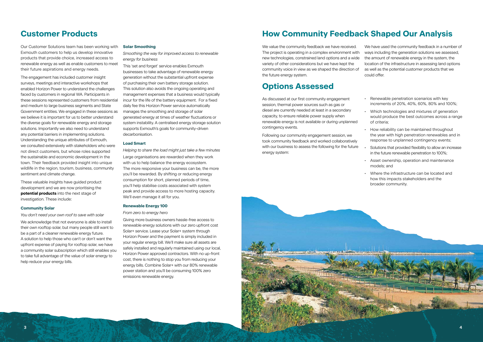

### **Customer Products**

Our Customer Solutions team has been working with Exmouth customers to help us develop innovative products that provide choice, increased access to renewable energy as well as enable customers to meet their future aspirations and energy needs.

The engagement has included customer insight surveys, meetings and interactive workshops that enabled Horizon Power to understand the challenges faced by customers in regional WA. Participants in these sessions represented customers from residential and medium to large business segments and State Government entities. We engaged in these sessions as we believe it is important for us to better understand the diverse goals for renewable energy and storage solutions. Importantly we also need to understand any potential barriers in implementing solutions. Understanding the unique attributes of Exmouth, we consulted extensively with stakeholders who were not direct customers, but whose roles supported the sustainable and economic development in the town. Their feedback provided insight into unique wildlife in the region, tourism, business, community sentiment and climate change.

These valuable insights have guided product development and we are now prioritising the **potential products** into the next stage of investigation. These include:

#### **Community Solar**

*You don't need your own roof to save with solar*

We acknowledge that not everyone is able to install their own rooftop solar, but many people still want to be a part of a cleaner renewable energy future. A solution to help those who can't or don't want the upfront expense of paying for rooftop solar, we have a community solar subscription which still enables you to take full advantage of the value of solar energy to help reduce your energy bills.

#### **Solar Smoothing**

*Smoothing the way for improved access to renewable energy for business*

This 'set and forget' service enables Exmouth businesses to take advantage of renewable energy generation without the substantial upfront expense of purchasing their own battery storage solution. This solution also avoids the ongoing operating and management expenses that a business would typically incur for the life of the battery equipment. For a fixed daily fee this Horizon Power service automatically manages the smoothing and storage of solar generated energy at times of weather fluctuations or system instability. A centralised energy storage solution supports Exmouth's goals for community-driven decarbonisation.

#### **Load Smart**

*Helping to share the load might just take a few minutes* Large organisations are rewarded when they work with us to help balance the energy ecosystem. The more responsive your business can be, the more you'll be rewarded. By shifting or reducing energy consumption for short, planned periods of time, you'll help stabilise costs associated with system peak and provide access to more hosting capacity. We'll even manage it all for you.

#### **Renewable Energy 100**

#### *From zero to energy hero*

Giving more business owners hassle-free access to renewable energy solutions with our zero upfront cost Solar+ service. Lease your Solar+ system through Horizon Power and the payment is simply included in your regular energy bill. We'll make sure all assets are safely installed and regularly maintained using our local, Horizon Power approved contractors. With no up-front cost, there is nothing to stop you from reducing your energy bills. Combine Solar+ with our 80% renewable power station and you'll be consuming 100% zero emissions renewable energy.

# **How Community Feedback Shaped Our Analysis**

We value the community feedback we have received. The project is operating in a complex environment with new technologies, constrained land options and a wide variety of other considerations but we have kept the community voice in view as we shaped the direction of the future energy system. We have used the community feedback in a number of ways including the generation solutions we assessed, the amount of renewable energy in the system, the location of the infrastructure in assessing land options as well as the potential customer products that we could offer.

### **Options Assessed**

As discussed at our first community engagement session, thermal power sources such as gas or diesel are currently needed at least in a secondary capacity, to ensure reliable power supply when renewable energy is not available or during unplanned contingency events.

Following our community engagement session, we took community feedback and worked collaboratively with our business to assess the following for the future energy system:

- Renewable penetration scenarios with key increments of 20%, 40%, 60%, 80% and 100%;
- Which technologies and mixtures of generation would produce the best outcomes across a range of criteria;
- How reliability can be maintained throughout the year with high penetration renewables and in response to unplanned contingency events;
- Solutions that provided flexibility to allow an increase in the future renewable penetration to 100%;
- Asset ownership, operation and maintenance models; and
- Where the infrastructure can be located and how this impacts stakeholders and the broader community.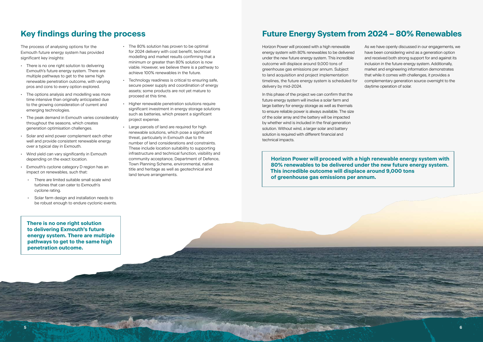

# **Key findings during the process**

The process of analysing options for the Exmouth future energy system has provided significant key insights:

- There is no one right solution to delivering Exmouth's future energy system. There are multiple pathways to get to the same high renewable penetration outcome, with varying pros and cons to every option explored.
- The options analysis and modelling was more time intensive than originally anticipated due to the growing consideration of current and emerging technologies.
- The peak demand in Exmouth varies considerably throughout the seasons, which creates generation optimisation challenges.
- Solar and wind power complement each other well and provide consistent renewable energy over a typical day in Exmouth.
- Wind yield can vary significantly in Exmouth depending on the exact location.
- Exmouth's cyclone category D region has an impact on renewables, such that:
	- There are limited suitable small scale wind turbines that can cater to Exmouth's cyclone rating.
	- Solar farm design and installation needs to be robust enough to endure cyclonic events.

# **Future Energy System from 2024 – 80% Renewables**

Horizon Power will proceed with a high renewable energy system with 80% renewables to be delivered under the new future energy system. This incredible outcome will displace around 9,000 tons of greenhouse gas emissions per annum. Subject to land acquisition and project implementation timelines, the future energy system is scheduled for delivery by mid-2024.

In this phase of the project we can confirm that the future energy system will involve a solar farm and large battery for energy storage as well as thermals to ensure reliable power is always available. The size of the solar array and the battery will be impacted by whether wind is included in the final generation solution. Without wind, a larger solar and battery solution is required with different financial and technical impacts.

As we have openly discussed in our engagements, we have been considering wind as a generation option and received both strong support for and against its inclusion in the future energy system. Additionally, market and engineering information demonstrates that while it comes with challenges, it provides a complementary generation source overnight to the daytime operation of solar.

**Horizon Power will proceed with a high renewable energy system with 80% renewables to be delivered under the new future energy system. This incredible outcome will displace around 9,000 tons of greenhouse gas emissions per annum.**

**There is no one right solution to delivering Exmouth's future energy system. There are multiple pathways to get to the same high penetration outcome.**

- The 80% solution has proven to be optimal for 2024 delivery with cost benefit, technical modelling and market results confirming that a minimum or greater than 80% solution is now viable. However, we believe there is a pathway to achieve 100% renewables in the future.
- Technology readiness is critical to ensuring safe, secure power supply and coordination of energy assets; some products are not yet mature to proceed at this time.
- Higher renewable penetration solutions require significant investment in energy storage solutions such as batteries, which present a significant project expense.
- Large parcels of land are required for high renewable solutions, which pose a significant threat, particularly in Exmouth due to the number of land considerations and constraints. These include location suitability to supporting infrastructure and technical function, visibility and community acceptance, Department of Defence, Town Planning Scheme, environmental, native title and heritage as well as geotechnical and land tenure arrangements.